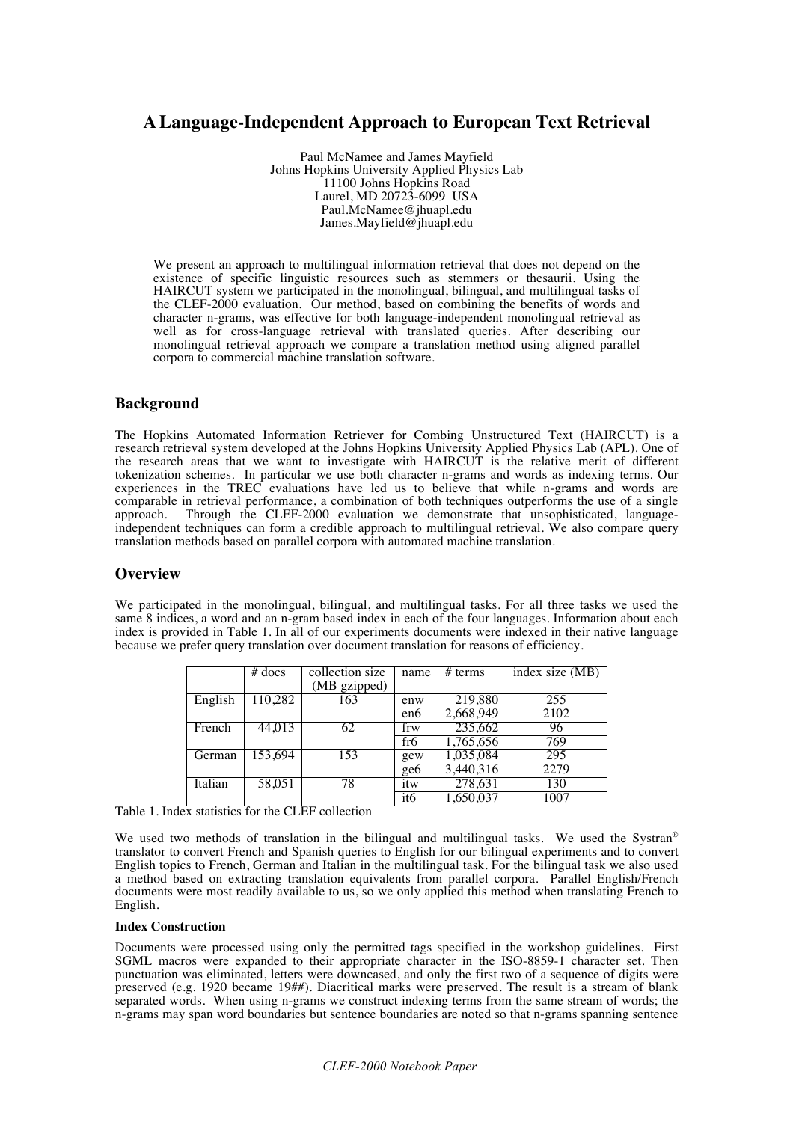# **A Language-Independent Approach to European Text Retrieval**

Paul McNamee and James Mayfield Johns Hopkins University Applied Physics Lab 11100 Johns Hopkins Road Laurel, MD 20723-6099 USA Paul.McNamee@jhuapl.edu James.Mayfield@jhuapl.edu

We present an approach to multilingual information retrieval that does not depend on the existence of specific linguistic resources such as stemmers or thesaurii. Using the HAIRCUT system we participated in the monolingual, bilingual, and multilingual tasks of the CLEF-2000 evaluation. Our method, based on combining the benefits of words and character n-grams, was effective for both language-independent monolingual retrieval as well as for cross-language retrieval with translated queries. After describing our monolingual retrieval approach we compare a translation method using aligned parallel corpora to commercial machine translation software.

## **Background**

The Hopkins Automated Information Retriever for Combing Unstructured Text (HAIRCUT) is a research retrieval system developed at the Johns Hopkins University Applied Physics Lab (APL). One of the research areas that we want to investigate with HAIRCUT is the relative merit of different tokenization schemes. In particular we use both character n-grams and words as indexing terms. Our experiences in the TREC evaluations have led us to believe that while n-grams and words are comparable in retrieval performance, a combination of both techniques outperforms the use of a single approach. Through the CLEF-2000 evaluation we demonstrate that unsophisticated, language-Through the CLEF-2000 evaluation we demonstrate that unsophisticated, languageindependent techniques can form a credible approach to multilingual retrieval. We also compare query translation methods based on parallel corpora with automated machine translation.

### **Overview**

We participated in the monolingual, bilingual, and multilingual tasks. For all three tasks we used the same 8 indices, a word and an n-gram based index in each of the four languages. Information about each index is provided in Table 1. In all of our experiments documents were indexed in their native language because we prefer query translation over document translation for reasons of efficiency.

|         | $#$ docs | collection size | name            | # terms   | index size (MB) |
|---------|----------|-----------------|-----------------|-----------|-----------------|
|         |          | (MB gzipped)    |                 |           |                 |
| English | 110,282  | 163             | enw             | 219,880   | 255             |
|         |          |                 | en6             | 2,668,949 | 2102            |
| French  | 44.013   | 62              | frw             | 235,662   | 96              |
|         |          |                 | fr6             | 1,765,656 | 769             |
| German  | 153,694  | 153             | gew             | 1,035,084 | 295             |
|         |          |                 | ge <sub>6</sub> | 3,440,316 | 2279            |
| Italian | 58,051   | 78              | itw             | 278,631   | 130             |
|         |          |                 | it <sub>6</sub> | 1,650,037 | 1007            |

Table 1. Index statistics for the CLEF collection

We used two methods of translation in the bilingual and multilingual tasks. We used the Systran<sup>®</sup> translator to convert French and Spanish queries to English for our bilingual experiments and to convert English topics to French, German and Italian in the multilingual task. For the bilingual task we also used a method based on extracting translation equivalents from parallel corpora. Parallel English/French documents were most readily available to us, so we only applied this method when translating French to English.

#### **Index Construction**

Documents were processed using only the permitted tags specified in the workshop guidelines. First SGML macros were expanded to their appropriate character in the ISO-8859-1 character set. Then punctuation was eliminated, letters were downcased, and only the first two of a sequence of digits were preserved (e.g. 1920 became 19##). Diacritical marks were preserved. The result is a stream of blank separated words. When using n-grams we construct indexing terms from the same stream of words; the n-grams may span word boundaries but sentence boundaries are noted so that n-grams spanning sentence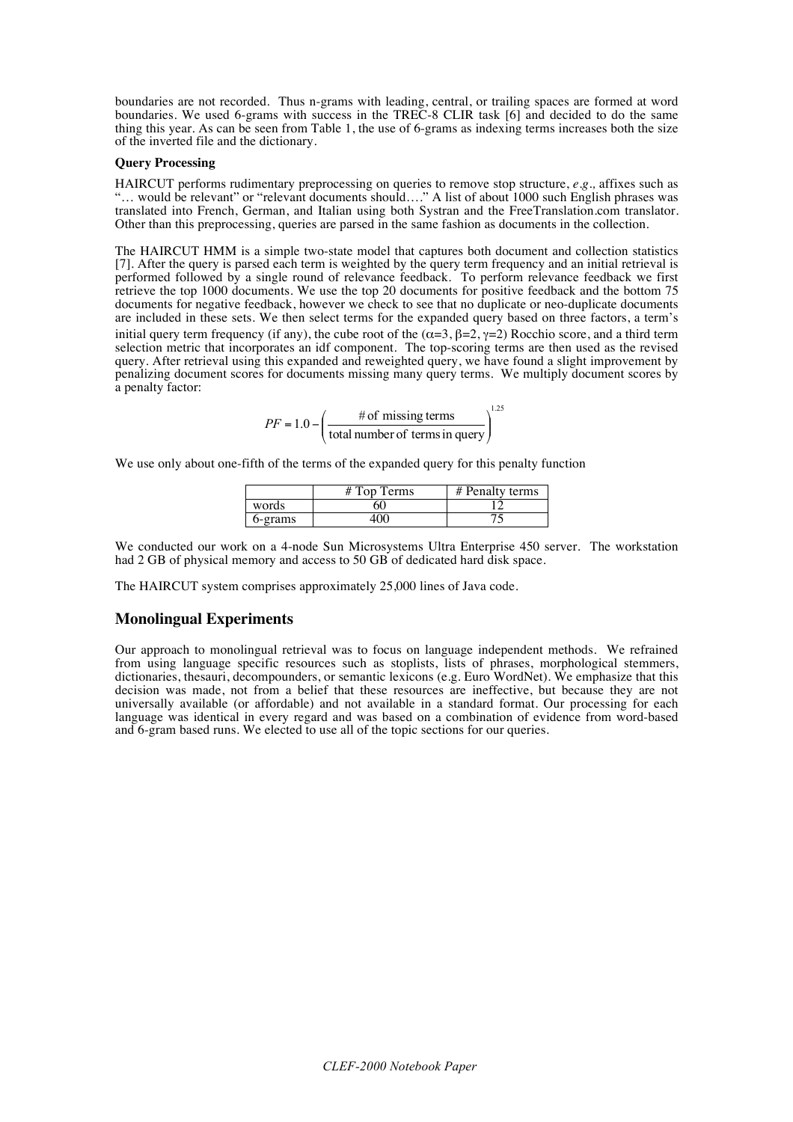boundaries are not recorded. Thus n-grams with leading, central, or trailing spaces are formed at word boundaries. We used 6-grams with success in the TREC-8 CLIR task [6] and decided to do the same thing this year. As can be seen from Table 1, the use of 6-grams as indexing terms increases both the size of the inverted file and the dictionary.

#### **Query Processing**

HAIRCUT performs rudimentary preprocessing on queries to remove stop structure, *e.g.,* affixes such as "… would be relevant" or "relevant documents should…." A list of about 1000 such English phrases was translated into French, German, and Italian using both Systran and the FreeTranslation.com translator. Other than this preprocessing, queries are parsed in the same fashion as documents in the collection.

The HAIRCUT HMM is a simple two-state model that captures both document and collection statistics [7]. After the query is parsed each term is weighted by the query term frequency and an initial retrieval is performed followed by a single round of relevance feedback. To perform relevance feedback we first retrieve the top 1000 documents. We use the top 20 documents for positive feedback and the bottom 75 documents for negative feedback, however we check to see that no duplicate or neo-duplicate documents are included in these sets. We then select terms for the expanded query based on three factors, a term's initial query term frequency (if any), the cube root of the  $(\alpha=3, \beta=2, \gamma=2)$  Rocchio score, and a third term selection metric that incorporates an idf component. The top-scoring terms are then used as the revised query. After retrieval using this expanded and reweighted query, we have found a slight improvement by penalizing document scores for documents missing many query terms. We multiply document scores by a penalty factor:

$$
PF = 1.0 - \left(\frac{\text{\# of missing terms}}{\text{total number of terms in query}}\right)^{1.25}
$$

We use only about one-fifth of the terms of the expanded query for this penalty function

|         | Top To<br>l'erms | # Penalty terms |
|---------|------------------|-----------------|
| words   |                  |                 |
| 6-grams |                  |                 |

We conducted our work on a 4-node Sun Microsystems Ultra Enterprise 450 server. The workstation had 2 GB of physical memory and access to 50 GB of dedicated hard disk space.

The HAIRCUT system comprises approximately 25,000 lines of Java code.

### **Monolingual Experiments**

Our approach to monolingual retrieval was to focus on language independent methods. We refrained from using language specific resources such as stoplists, lists of phrases, morphological stemmers, dictionaries, thesauri, decompounders, or semantic lexicons (e.g. Euro WordNet). We emphasize that this decision was made, not from a belief that these resources are ineffective, but because they are not universally available (or affordable) and not available in a standard format. Our processing for each language was identical in every regard and was based on a combination of evidence from word-based and 6-gram based runs. We elected to use all of the topic sections for our queries.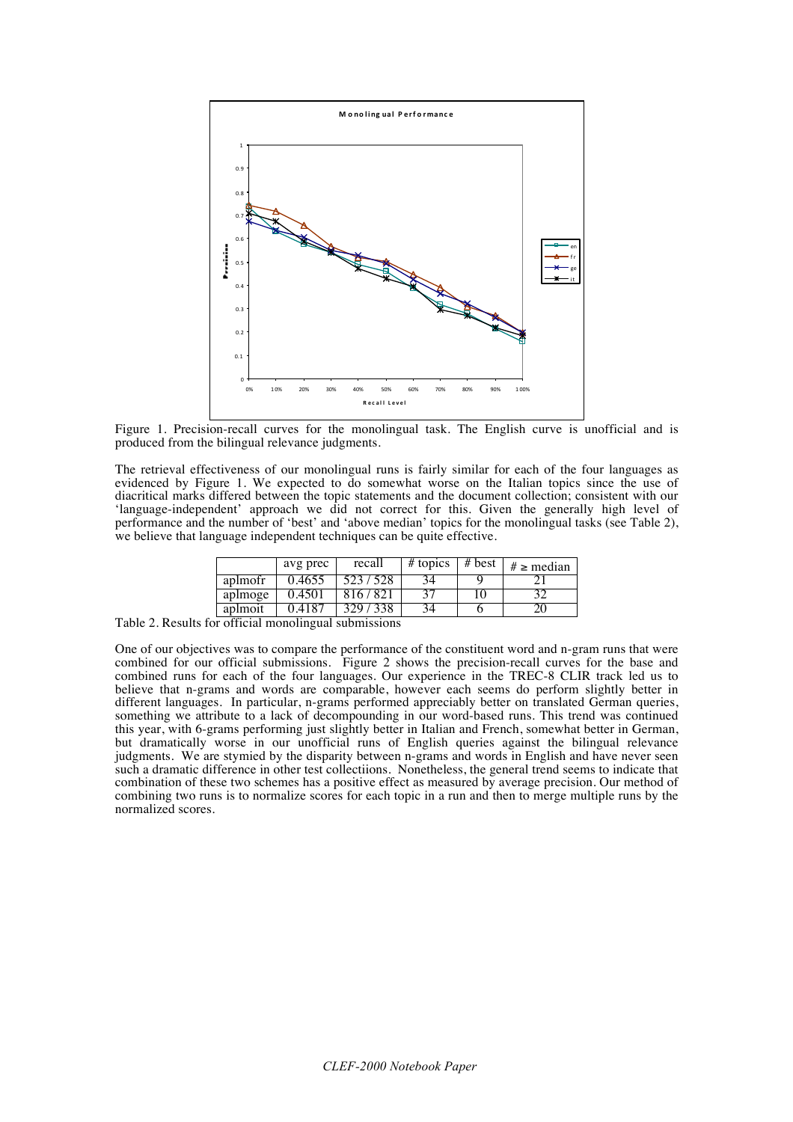

Figure 1. Precision-recall curves for the monolingual task. The English curve is unofficial and is produced from the bilingual relevance judgments.

The retrieval effectiveness of our monolingual runs is fairly similar for each of the four languages as evidenced by Figure 1. We expected to do somewhat worse on the Italian topics since the use of diacritical marks differed between the topic statements and the document collection; consistent with our 'language-independent' approach we did not correct for this. Given the generally high level of performance and the number of 'best' and 'above median' topics for the monolingual tasks (see Table 2), we believe that language independent techniques can be quite effective.

|         | avg prec | recall  | $#$ topics | # best | $# \geq$ median |
|---------|----------|---------|------------|--------|-----------------|
| aplmofr | 0.4655   | 523/528 |            |        |                 |
| aplmoge | 0.4501   | 816/821 |            |        |                 |
| aplmoit |          | 329     |            |        |                 |

Table 2. Results for official monolingual submissions

One of our objectives was to compare the performance of the constituent word and n-gram runs that were combined for our official submissions. Figure 2 shows the precision-recall curves for the base and combined runs for each of the four languages. Our experience in the TREC-8 CLIR track led us to believe that n-grams and words are comparable, however each seems do perform slightly better in different languages. In particular, n-grams performed appreciably better on translated German queries, something we attribute to a lack of decompounding in our word-based runs. This trend was continued this year, with 6-grams performing just slightly better in Italian and French, somewhat better in German, but dramatically worse in our unofficial runs of English queries against the bilingual relevance judgments. We are stymied by the disparity between n-grams and words in English and have never seen such a dramatic difference in other test collectiions. Nonetheless, the general trend seems to indicate that combination of these two schemes has a positive effect as measured by average precision. Our method of combining two runs is to normalize scores for each topic in a run and then to merge multiple runs by the normalized scores.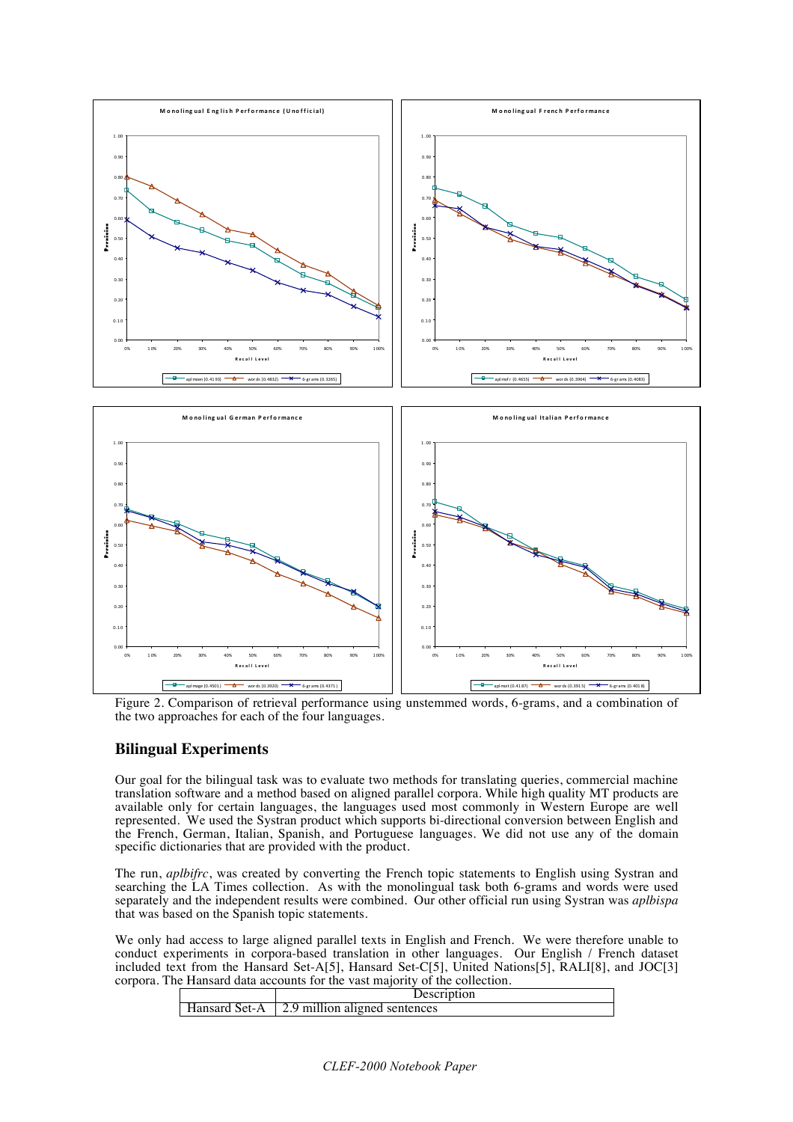

Figure 2. Comparison of retrieval performance using unstemmed words, 6-grams, and a combination of the two approaches for each of the four languages.

## **Bilingual Experiments**

Our goal for the bilingual task was to evaluate two methods for translating queries, commercial machine translation software and a method based on aligned parallel corpora. While high quality MT products are available only for certain languages, the languages used most commonly in Western Europe are well represented. We used the Systran product which supports bi-directional conversion between English and the French, German, Italian, Spanish, and Portuguese languages. We did not use any of the domain specific dictionaries that are provided with the product.

The run, *aplbifrc*, was created by converting the French topic statements to English using Systran and searching the LA Times collection. As with the monolingual task both 6-grams and words were used separately and the independent results were combined. Our other official run using Systran was *aplbispa* that was based on the Spanish topic statements.

We only had access to large aligned parallel texts in English and French. We were therefore unable to conduct experiments in corpora-based translation in other languages. Our English / French dataset included text from the Hansard Set-A[5], Hansard Set-C[5], United Nations[5], RALI[8], and JOC[3] corpora. The Hansard data accounts for the vast majority of the collection.

|                                               | ~1Dt1On                            |
|-----------------------------------------------|------------------------------------|
| Set-<br>$\Delta$<br>Hansard<br>$\overline{ }$ | sentences<br>aligned<br>.9 million |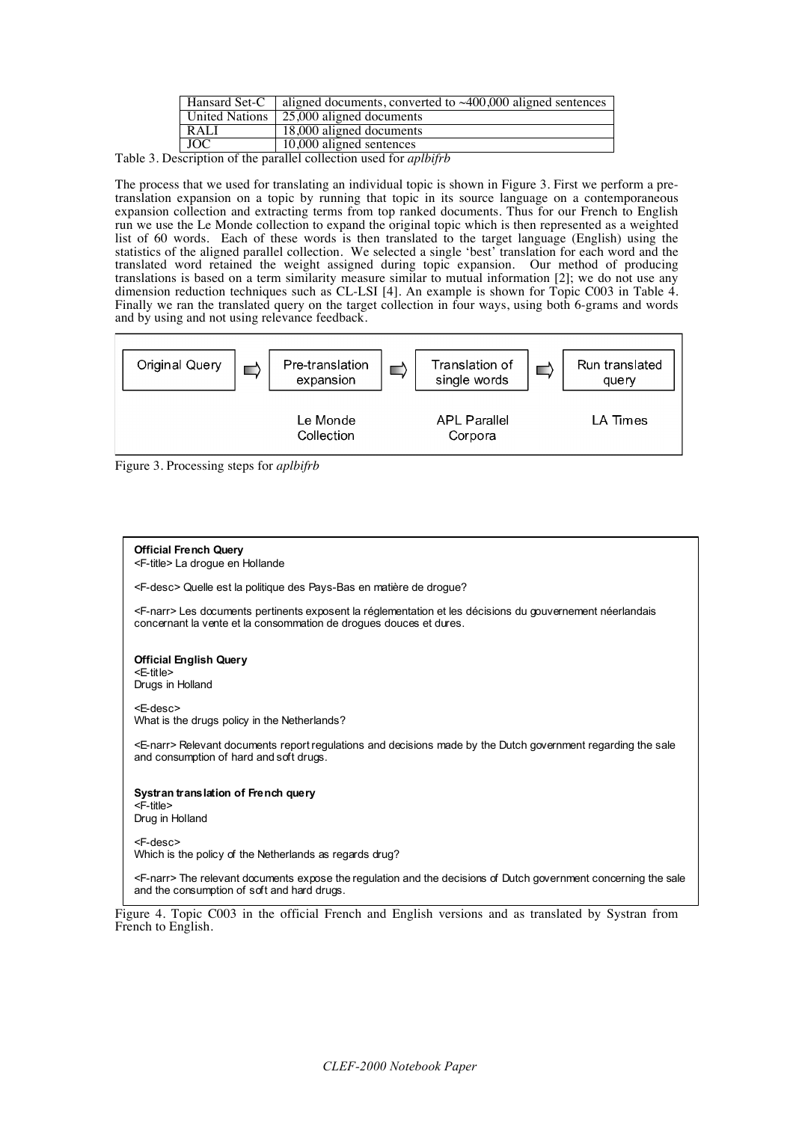|                                                                 | Hansard Set-C   aligned documents, converted to $\sim$ 400,000 aligned sentences |  |  |  |  |  |
|-----------------------------------------------------------------|----------------------------------------------------------------------------------|--|--|--|--|--|
|                                                                 | United Nations   25,000 aligned documents                                        |  |  |  |  |  |
| <b>RALI</b>                                                     | 18,000 aligned documents                                                         |  |  |  |  |  |
| JOC-                                                            | 10,000 aligned sentences                                                         |  |  |  |  |  |
| escription of the parallel collection used for <i>applifith</i> |                                                                                  |  |  |  |  |  |

Table 3. Description of the parallel collection used for *aplbifrb*

The process that we used for translating an individual topic is shown in Figure 3. First we perform a pretranslation expansion on a topic by running that topic in its source language on a contemporaneous expansion collection and extracting terms from top ranked documents. Thus for our French to English run we use the Le Monde collection to expand the original topic which is then represented as a weighted list of 60 words. Each of these words is then translated to the target language (English) using the statistics of the aligned parallel collection. We selected a single 'best' translation for each word and the translated word retained the weight assigned during topic expansion. Our method of producing translations is based on a term similarity measure similar to mutual information [2]; we do not use any dimension reduction techniques such as CL-LSI [4]. An example is shown for Topic C003 in Table 4. Finally we ran the translated query on the target collection in four ways, using both 6-grams and words and by using and not using relevance feedback.



Figure 3. Processing steps for *aplbifrb*

# **Official French Query** <F-title> La drogue en Hollande <F-desc> Quelle est la politique des Pays-Bas en matière de drogue? <F-narr> Les documents pertinents exposent la réglementation et les décisions du gouvernement néerlandais concernant la vente et la consommation de drogues douces et dures. **Official English Query** <E-title> Drugs in Holland <E-desc> What is the drugs policy in the Netherlands? <E-narr> Relevant documents report regulations and decisions made by the Dutch government regarding the sale and consumption of hard and soft drugs. **Systran translation of French query** <F-title> Drug in Holland <F-desc> Which is the policy of the Netherlands as regards drug? <F-narr> The relevant documents expose the regulation and the decisions of Dutch government concerning the sale and the consumption of soft and hard drugs.

Figure 4. Topic C003 in the official French and English versions and as translated by Systran from French to English.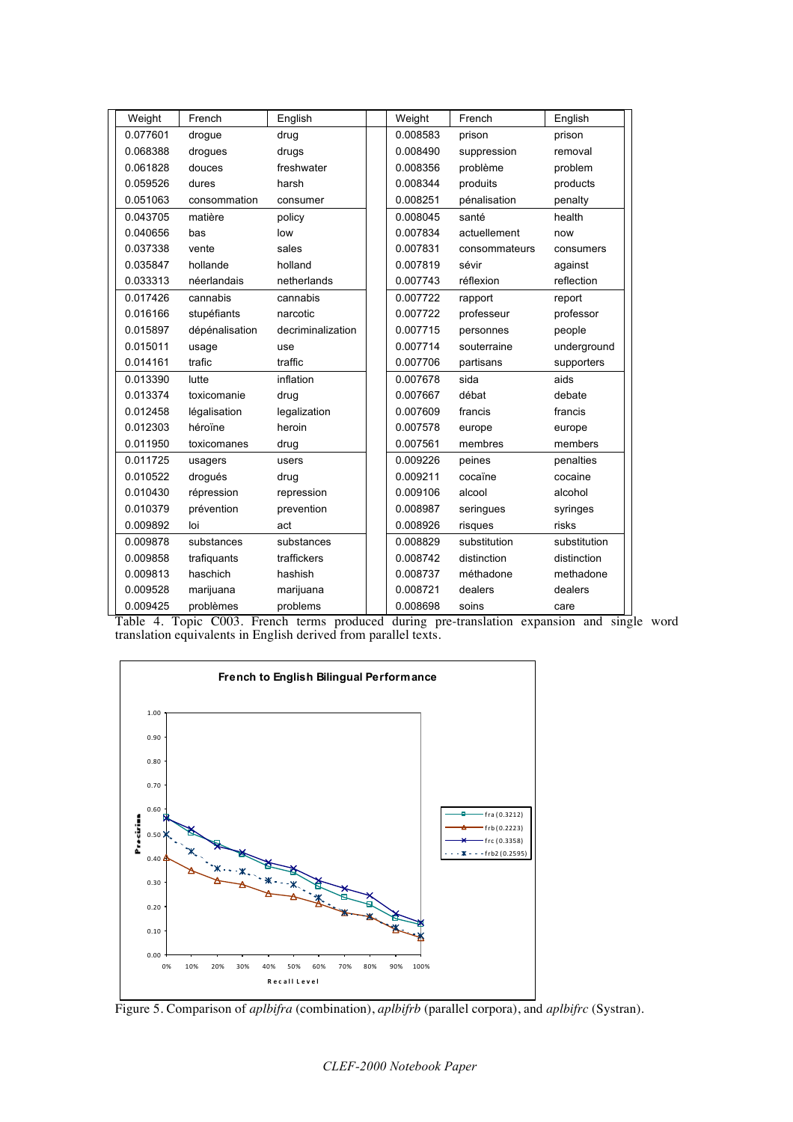| Weight   | French         | English           | Weight   | French        | English      |
|----------|----------------|-------------------|----------|---------------|--------------|
| 0.077601 | drogue         | drug              | 0.008583 | prison        | prison       |
| 0.068388 | drogues        | drugs             | 0.008490 | suppression   | removal      |
| 0.061828 | douces         | freshwater        | 0.008356 | problème      | problem      |
| 0.059526 | dures          | harsh             | 0.008344 | produits      | products     |
| 0.051063 | consommation   | consumer          | 0.008251 | pénalisation  | penalty      |
| 0.043705 | matière        | policy            | 0.008045 | santé         | health       |
| 0.040656 | bas            | low               | 0.007834 | actuellement  | now          |
| 0.037338 | vente          | sales             | 0.007831 | consommateurs | consumers    |
| 0.035847 | hollande       | holland           | 0.007819 | sévir         | against      |
| 0.033313 | néerlandais    | netherlands       | 0.007743 | réflexion     | reflection   |
| 0.017426 | cannabis       | cannabis          | 0.007722 | rapport       | report       |
| 0.016166 | stupéfiants    | narcotic          | 0.007722 | professeur    | professor    |
| 0.015897 | dépénalisation | decriminalization | 0.007715 | personnes     | people       |
| 0.015011 | usage          | use               | 0.007714 | souterraine   | underground  |
| 0.014161 | trafic         | traffic           | 0.007706 | partisans     | supporters   |
| 0.013390 | lutte          | inflation         | 0.007678 | sida          | aids         |
| 0.013374 | toxicomanie    | drug              | 0.007667 | débat         | debate       |
| 0.012458 | légalisation   | legalization      | 0.007609 | francis       | francis      |
| 0.012303 | héroïne        | heroin            | 0.007578 | europe        | europe       |
| 0.011950 | toxicomanes    | drug              | 0.007561 | membres       | members      |
| 0.011725 | usagers        | users             | 0.009226 | peines        | penalties    |
| 0.010522 | drogués        | drug              | 0.009211 | cocaïne       | cocaine      |
| 0.010430 | répression     | repression        | 0.009106 | alcool        | alcohol      |
| 0.010379 | prévention     | prevention        | 0.008987 | seringues     | syringes     |
| 0.009892 | loi            | act               | 0.008926 | risques       | risks        |
| 0.009878 | substances     | substances        | 0.008829 | substitution  | substitution |
| 0.009858 | trafiquants    | traffickers       | 0.008742 | distinction   | distinction  |
| 0.009813 | haschich       | hashish           | 0.008737 | méthadone     | methadone    |
| 0.009528 | marijuana      | marijuana         | 0.008721 | dealers       | dealers      |
| 0.009425 | problèmes      | problems          | 0.008698 | soins         | care         |

Table 4. Topic C003. French terms produced during pre-translation expansion and single word translation equivalents in English derived from parallel texts.



Figure 5. Comparison of *aplbifra* (combination), *aplbifrb* (parallel corpora), and *aplbifrc* (Systran).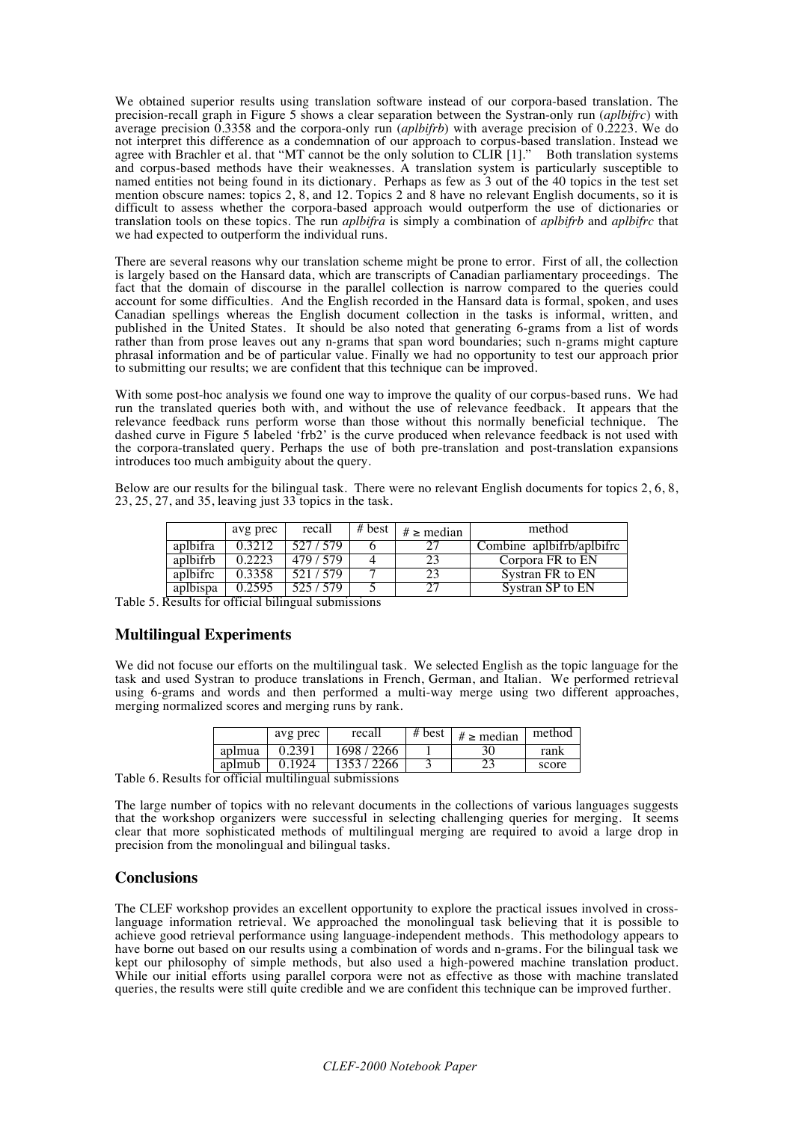We obtained superior results using translation software instead of our corpora-based translation. The precision-recall graph in Figure 5 shows a clear separation between the Systran-only run (*aplbifrc*) with average precision 0.3358 and the corpora-only run (*aplbifrb*) with average precision of 0.2223. We do not interpret this difference as a condemnation of our approach to corpus-based translation. Instead we agree with Brachler et al. that "MT cannot be the only solution to CLIR [1]." Both translation systems and corpus-based methods have their weaknesses. A translation system is particularly susceptible to named entities not being found in its dictionary. Perhaps as few as 3 out of the 40 topics in the test set mention obscure names: topics 2, 8, and 12. Topics 2 and 8 have no relevant English documents, so it is difficult to assess whether the corpora-based approach would outperform the use of dictionaries or translation tools on these topics. The run *aplbifra* is simply a combination of *aplbifrb* and *aplbifrc* that we had expected to outperform the individual runs.

There are several reasons why our translation scheme might be prone to error. First of all, the collection is largely based on the Hansard data, which are transcripts of Canadian parliamentary proceedings. The fact that the domain of discourse in the parallel collection is narrow compared to the queries could account for some difficulties. And the English recorded in the Hansard data is formal, spoken, and uses Canadian spellings whereas the English document collection in the tasks is informal, written, and published in the United States. It should be also noted that generating 6-grams from a list of words rather than from prose leaves out any n-grams that span word boundaries; such n-grams might capture phrasal information and be of particular value. Finally we had no opportunity to test our approach prior to submitting our results; we are confident that this technique can be improved.

With some post-hoc analysis we found one way to improve the quality of our corpus-based runs. We had run the translated queries both with, and without the use of relevance feedback. It appears that the relevance feedback runs perform worse than those without this normally beneficial technique. The dashed curve in Figure 5 labeled 'frb2' is the curve produced when relevance feedback is not used with the corpora-translated query. Perhaps the use of both pre-translation and post-translation expansions introduces too much ambiguity about the query.

Below are our results for the bilingual task. There were no relevant English documents for topics 2, 6, 8, 23, 25, 27, and 35, leaving just 33 topics in the task.

|          | avg prec | recall    | # best | $# \geq$ median | method                    |
|----------|----------|-----------|--------|-----------------|---------------------------|
| aplbifra | 0.3212   | 527 / 579 |        |                 | Combine aplbifrb/aplbifrc |
| aplbifrb |          | 479 / 579 |        |                 | Corpora FR to EN          |
| aplbifrc | 0.3358   | 521/579   |        |                 | Systran FR to EN          |
| aplbispa | 0.2595   | 525/579   |        |                 | Systran SP to EN          |

Table 5. Results for official bilingual submissions

## **Multilingual Experiments**

We did not focuse our efforts on the multilingual task. We selected English as the topic language for the task and used Systran to produce translations in French, German, and Italian. We performed retrieval using 6-grams and words and then performed a multi-way merge using two different approaches, merging normalized scores and merging runs by rank.

|        | avg prec | recall      | # best | $#$ > median | method |
|--------|----------|-------------|--------|--------------|--------|
| aplmua | 0.2391   | 1698 / 2266 |        | 30           | rank   |
| aplmub | 0.1924   | 1353/2266   |        |              | score  |
| rr"    | 1. . 1.  |             |        |              |        |

Table 6. Results for official multilingual submissions

The large number of topics with no relevant documents in the collections of various languages suggests that the workshop organizers were successful in selecting challenging queries for merging. It seems clear that more sophisticated methods of multilingual merging are required to avoid a large drop in precision from the monolingual and bilingual tasks.

### **Conclusions**

The CLEF workshop provides an excellent opportunity to explore the practical issues involved in crosslanguage information retrieval. We approached the monolingual task believing that it is possible to achieve good retrieval performance using language-independent methods. This methodology appears to have borne out based on our results using a combination of words and n-grams. For the bilingual task we kept our philosophy of simple methods, but also used a high-powered machine translation product. While our initial efforts using parallel corpora were not as effective as those with machine translated queries, the results were still quite credible and we are confident this technique can be improved further.